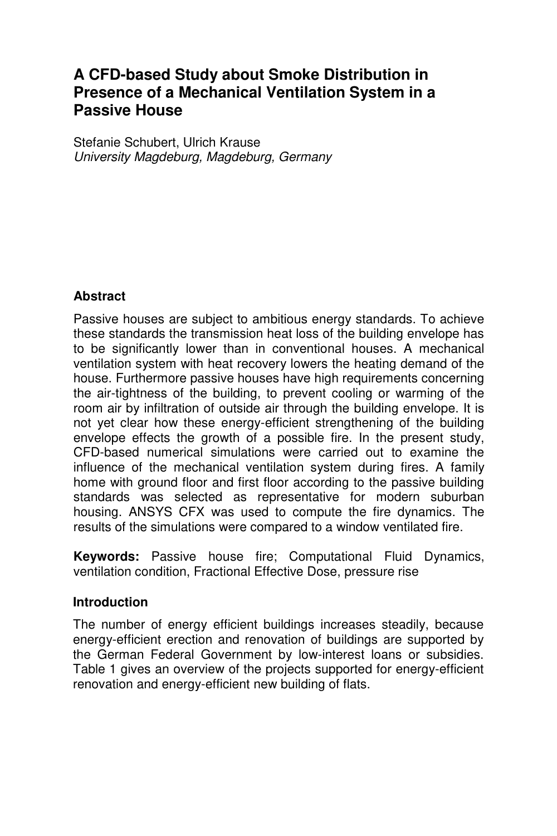# **A CFD-based Study about Smoke Distribution in Presence of a Mechanical Ventilation System in a Passive House**

Stefanie Schubert, Ulrich Krause University Magdeburg, Magdeburg, Germany

### **Abstract**

Passive houses are subject to ambitious energy standards. To achieve these standards the transmission heat loss of the building envelope has to be significantly lower than in conventional houses. A mechanical ventilation system with heat recovery lowers the heating demand of the house. Furthermore passive houses have high requirements concerning the air-tightness of the building, to prevent cooling or warming of the room air by infiltration of outside air through the building envelope. It is not yet clear how these energy-efficient strengthening of the building envelope effects the growth of a possible fire. In the present study, CFD-based numerical simulations were carried out to examine the influence of the mechanical ventilation system during fires. A family home with ground floor and first floor according to the passive building standards was selected as representative for modern suburban housing. ANSYS CFX was used to compute the fire dynamics. The results of the simulations were compared to a window ventilated fire.

**Keywords:** Passive house fire; Computational Fluid Dynamics, ventilation condition, Fractional Effective Dose, pressure rise

#### **Introduction**

The number of energy efficient buildings increases steadily, because energy-efficient erection and renovation of buildings are supported by the German Federal Government by low-interest loans or subsidies. Table 1 gives an overview of the projects supported for energy-efficient renovation and energy-efficient new building of flats.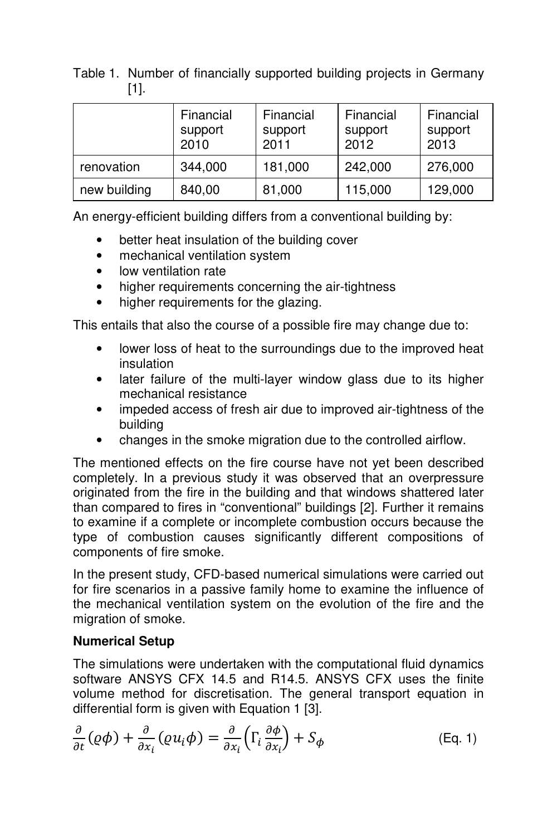Table 1. Number of financially supported building projects in Germany [1].

|              | Financial<br>support<br>2010 | Financial<br>support<br>2011 | Financial<br>support<br>2012 | Financial<br>support<br>2013 |
|--------------|------------------------------|------------------------------|------------------------------|------------------------------|
| renovation   | 344,000                      | 181,000                      | 242,000                      | 276,000                      |
| new building | 840,00                       | 81,000                       | 115,000                      | 129,000                      |

An energy-efficient building differs from a conventional building by:

- better heat insulation of the building cover
- mechanical ventilation system
- low ventilation rate
- higher requirements concerning the air-tightness
- higher requirements for the glazing.

This entails that also the course of a possible fire may change due to:

- lower loss of heat to the surroundings due to the improved heat insulation
- later failure of the multi-layer window glass due to its higher mechanical resistance
- impeded access of fresh air due to improved air-tightness of the building
- changes in the smoke migration due to the controlled airflow.

The mentioned effects on the fire course have not yet been described completely. In a previous study it was observed that an overpressure originated from the fire in the building and that windows shattered later than compared to fires in "conventional" buildings [2]. Further it remains to examine if a complete or incomplete combustion occurs because the type of combustion causes significantly different compositions of components of fire smoke.

In the present study, CFD-based numerical simulations were carried out for fire scenarios in a passive family home to examine the influence of the mechanical ventilation system on the evolution of the fire and the migration of smoke.

### **Numerical Setup**

The simulations were undertaken with the computational fluid dynamics software ANSYS CFX 14.5 and R14.5. ANSYS CFX uses the finite volume method for discretisation. The general transport equation in differential form is given with Equation 1 [3].

$$
\frac{\partial}{\partial t}(\varrho \phi) + \frac{\partial}{\partial x_i}(\varrho u_i \phi) = \frac{\partial}{\partial x_i} \left( \Gamma_i \frac{\partial \phi}{\partial x_i} \right) + S_{\phi}
$$
 (Eq. 1)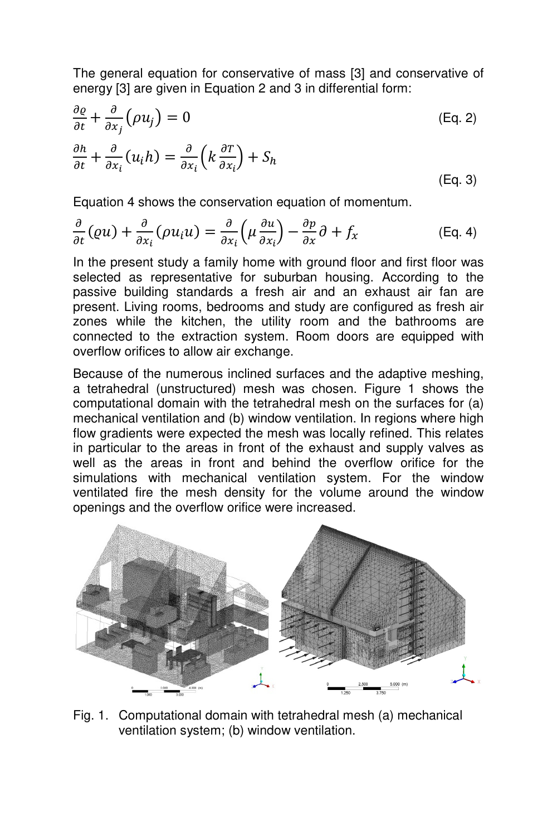The general equation for conservative of mass [3] and conservative of energy [3] are given in Equation 2 and 3 in differential form:

$$
\frac{\partial \varrho}{\partial t} + \frac{\partial}{\partial x_j} (\rho u_j) = 0
$$
\n
$$
\frac{\partial h}{\partial t} + \frac{\partial}{\partial x_i} (u_i h) = \frac{\partial}{\partial x_i} \left( k \frac{\partial T}{\partial x_i} \right) + S_h
$$
\n(Eq. 3)

Equation 4 shows the conservation equation of momentum.

$$
\frac{\partial}{\partial t}(\varrho u) + \frac{\partial}{\partial x_i}(\rho u_i u) = \frac{\partial}{\partial x_i}(\mu \frac{\partial u}{\partial x_i}) - \frac{\partial p}{\partial x}\partial + f_x
$$
 (Eq. 4)

In the present study a family home with ground floor and first floor was selected as representative for suburban housing. According to the passive building standards a fresh air and an exhaust air fan are present. Living rooms, bedrooms and study are configured as fresh air zones while the kitchen, the utility room and the bathrooms are connected to the extraction system. Room doors are equipped with overflow orifices to allow air exchange.

Because of the numerous inclined surfaces and the adaptive meshing, a tetrahedral (unstructured) mesh was chosen. Figure 1 shows the computational domain with the tetrahedral mesh on the surfaces for (a) mechanical ventilation and (b) window ventilation. In regions where high flow gradients were expected the mesh was locally refined. This relates in particular to the areas in front of the exhaust and supply valves as well as the areas in front and behind the overflow orifice for the simulations with mechanical ventilation system. For the window ventilated fire the mesh density for the volume around the window openings and the overflow orifice were increased.



Fig. 1. Computational domain with tetrahedral mesh (a) mechanical ventilation system; (b) window ventilation.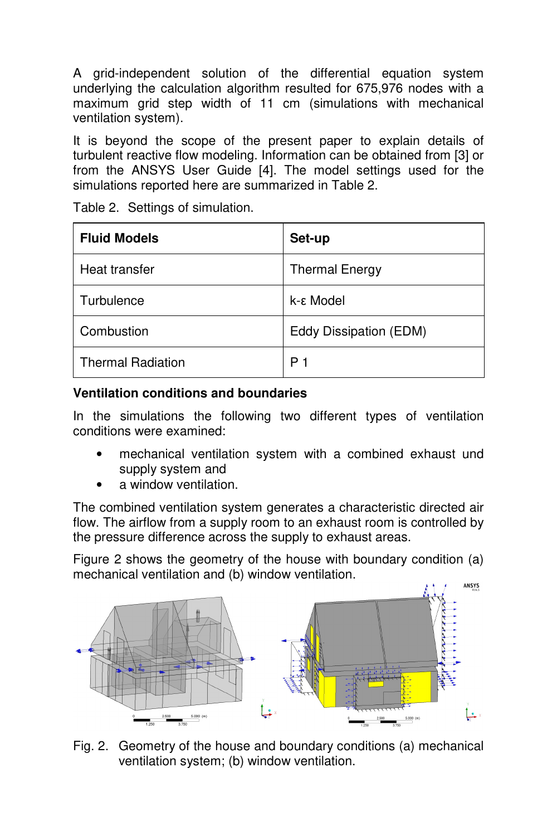A grid-independent solution of the differential equation system underlying the calculation algorithm resulted for 675,976 nodes with a maximum grid step width of 11 cm (simulations with mechanical ventilation system).

It is beyond the scope of the present paper to explain details of turbulent reactive flow modeling. Information can be obtained from [3] or from the ANSYS User Guide [4]. The model settings used for the simulations reported here are summarized in Table 2.

| <b>Fluid Models</b>      | Set-up                 |
|--------------------------|------------------------|
| Heat transfer            | <b>Thermal Energy</b>  |
| Turbulence               | k-ε Model              |
| Combustion               | Eddy Dissipation (EDM) |
| <b>Thermal Radiation</b> | P 1                    |

Table 2. Settings of simulation.

### **Ventilation conditions and boundaries**

In the simulations the following two different types of ventilation conditions were examined:

- mechanical ventilation system with a combined exhaust und supply system and
- a window ventilation.

The combined ventilation system generates a characteristic directed air flow. The airflow from a supply room to an exhaust room is controlled by the pressure difference across the supply to exhaust areas.

Figure 2 shows the geometry of the house with boundary condition (a) mechanical ventilation and (b) window ventilation.



Fig. 2. Geometry of the house and boundary conditions (a) mechanical ventilation system; (b) window ventilation.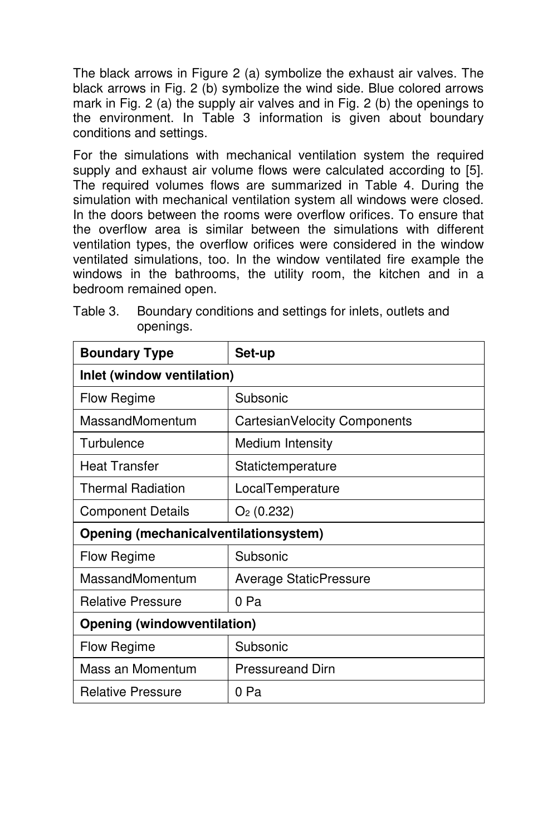The black arrows in Figure 2 (a) symbolize the exhaust air valves. The black arrows in Fig. 2 (b) symbolize the wind side. Blue colored arrows mark in Fig. 2 (a) the supply air valves and in Fig. 2 (b) the openings to the environment. In Table 3 information is given about boundary conditions and settings.

For the simulations with mechanical ventilation system the required supply and exhaust air volume flows were calculated according to [5]. The required volumes flows are summarized in Table 4. During the simulation with mechanical ventilation system all windows were closed. In the doors between the rooms were overflow orifices. To ensure that the overflow area is similar between the simulations with different ventilation types, the overflow orifices were considered in the window ventilated simulations, too. In the window ventilated fire example the windows in the bathrooms, the utility room, the kitchen and in a bedroom remained open.

| <b>Boundary Type</b>                  | Set-up                        |  |  |
|---------------------------------------|-------------------------------|--|--|
| Inlet (window ventilation)            |                               |  |  |
| Flow Regime                           | Subsonic                      |  |  |
| MassandMomentum                       | CartesianVelocity Components  |  |  |
| Turbulence                            | Medium Intensity              |  |  |
| <b>Heat Transfer</b>                  | Statictemperature             |  |  |
| Thermal Radiation                     | LocalTemperature              |  |  |
| <b>Component Details</b>              | $O2$ (0.232)                  |  |  |
| Opening (mechanicalventilationsystem) |                               |  |  |
| Flow Regime                           | Subsonic                      |  |  |
| MassandMomentum                       | <b>Average StaticPressure</b> |  |  |
| <b>Relative Pressure</b>              | 0 Pa                          |  |  |
| <b>Opening (windowventilation)</b>    |                               |  |  |
| Flow Regime                           | Subsonic                      |  |  |
| Mass an Momentum                      | <b>Pressureand Dirn</b>       |  |  |
| <b>Relative Pressure</b>              | 0 Pa                          |  |  |

Table 3. Boundary conditions and settings for inlets, outlets and openings.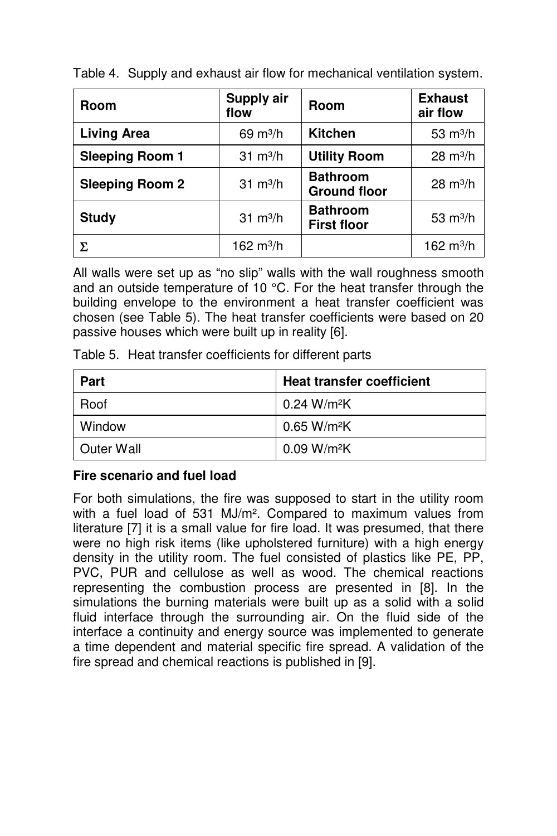| Room                   | Supply air<br>flow | <b>Room</b>                            | <b>Exhaust</b><br>air flow |
|------------------------|--------------------|----------------------------------------|----------------------------|
| <b>Living Area</b>     | $69 \text{ m}^3/h$ | <b>Kitchen</b>                         | $53 \text{ m}^3/h$         |
| <b>Sleeping Room 1</b> | $31 \text{ m}^3/h$ | <b>Utility Room</b>                    | $28 \text{ m}^3/h$         |
| <b>Sleeping Room 2</b> | $31 \text{ m}^3/h$ | <b>Bathroom</b><br><b>Ground floor</b> | $28 \text{ m}^3/h$         |
| <b>Study</b>           | $31 \text{ m}^3/h$ | <b>Bathroom</b><br><b>First floor</b>  | $53 \text{ m}^3/h$         |
| Σ                      | 162 $m^3/h$        |                                        | 162 $m^3/h$                |

Table 4. Supply and exhaust air flow for mechanical ventilation system.

All walls were set up as "no slip" walls with the wall roughness smooth and an outside temperature of 10 °C. For the heat transfer through the building envelope to the environment a heat transfer coefficient was chosen (see Table 5). The heat transfer coefficients were based on 20 passive houses which were built up in reality [6].

| <b>Part</b> | <b>Heat transfer coefficient</b> |
|-------------|----------------------------------|
| Roof        | 0.24 W/m <sup>2</sup> K          |
| Window      | $0.65$ W/m <sup>2</sup> K        |
| Outer Wall  | $0.09 W/m^2K$                    |

Table 5. Heat transfer coefficients for different parts

#### **Fire scenario and fuel load**

For both simulations, the fire was supposed to start in the utility room with a fuel load of 531 MJ/m². Compared to maximum values from literature [7] it is a small value for fire load. It was presumed, that there were no high risk items (like upholstered furniture) with a high energy density in the utility room. The fuel consisted of plastics like PE, PP, PVC, PUR and cellulose as well as wood. The chemical reactions representing the combustion process are presented in [8]. In the simulations the burning materials were built up as a solid with a solid fluid interface through the surrounding air. On the fluid side of the interface a continuity and energy source was implemented to generate a time dependent and material specific fire spread. A validation of the fire spread and chemical reactions is published in [9].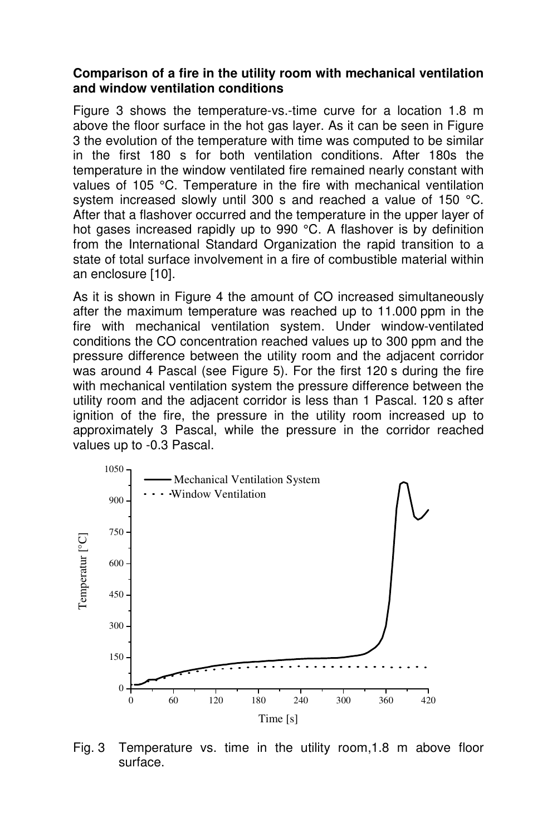#### **Comparison of a fire in the utility room with mechanical ventilation and window ventilation conditions**

Figure 3 shows the temperature-vs.-time curve for a location 1.8 m above the floor surface in the hot gas layer. As it can be seen in Figure 3 the evolution of the temperature with time was computed to be similar in the first 180 s for both ventilation conditions. After 180s the temperature in the window ventilated fire remained nearly constant with values of 105 °C. Temperature in the fire with mechanical ventilation system increased slowly until 300 s and reached a value of 150 °C. After that a flashover occurred and the temperature in the upper layer of hot gases increased rapidly up to 990 °C. A flashover is by definition from the International Standard Organization the rapid transition to a state of total surface involvement in a fire of combustible material within an enclosure [10].

As it is shown in Figure 4 the amount of CO increased simultaneously after the maximum temperature was reached up to 11.000 ppm in the fire with mechanical ventilation system. Under window-ventilated conditions the CO concentration reached values up to 300 ppm and the pressure difference between the utility room and the adjacent corridor was around 4 Pascal (see Figure 5). For the first 120 s during the fire with mechanical ventilation system the pressure difference between the utility room and the adjacent corridor is less than 1 Pascal. 120 s after ignition of the fire, the pressure in the utility room increased up to approximately 3 Pascal, while the pressure in the corridor reached values up to -0.3 Pascal.



Fig. 3 Temperature vs. time in the utility room,1.8 m above floor surface.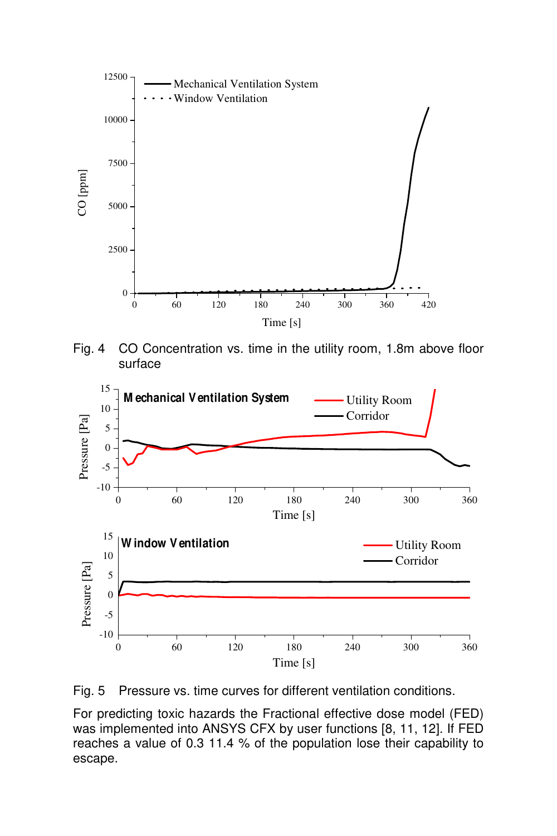

Fig. 4 CO Concentration vs. time in the utility room, 1.8m above floor surface



Fig. 5 Pressure vs. time curves for different ventilation conditions.

For predicting toxic hazards the Fractional effective dose model (FED) was implemented into ANSYS CFX by user functions [8, 11, 12]. If FED reaches a value of 0.3 11.4 % of the population lose their capability to escape.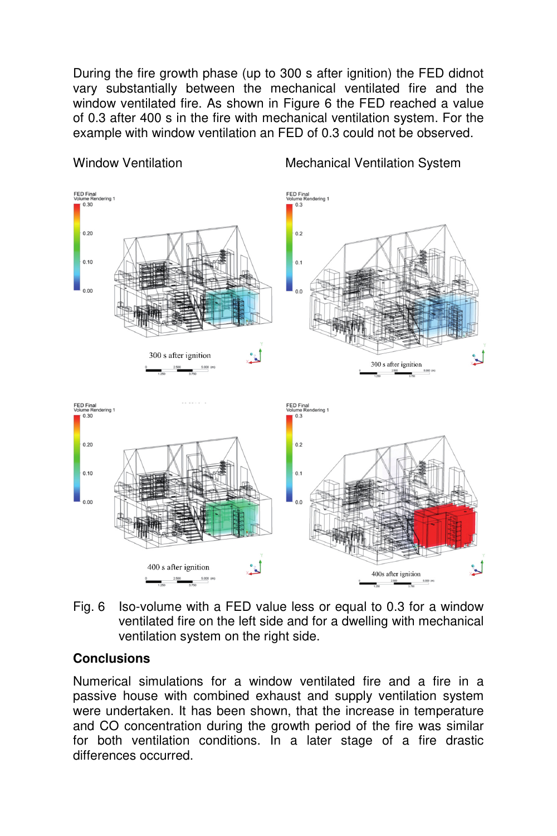During the fire growth phase (up to 300 s after ignition) the FED didnot vary substantially between the mechanical ventilated fire and the window ventilated fire. As shown in Figure 6 the FED reached a value of 0.3 after 400 s in the fire with mechanical ventilation system. For the example with window ventilation an FED of 0.3 could not be observed.



Fig. 6 Iso-volume with a FED value less or equal to 0.3 for a window ventilated fire on the left side and for a dwelling with mechanical ventilation system on the right side.

## **Conclusions**

Numerical simulations for a window ventilated fire and a fire in a passive house with combined exhaust and supply ventilation system were undertaken. It has been shown, that the increase in temperature and CO concentration during the growth period of the fire was similar for both ventilation conditions. In a later stage of a fire drastic differences occurred.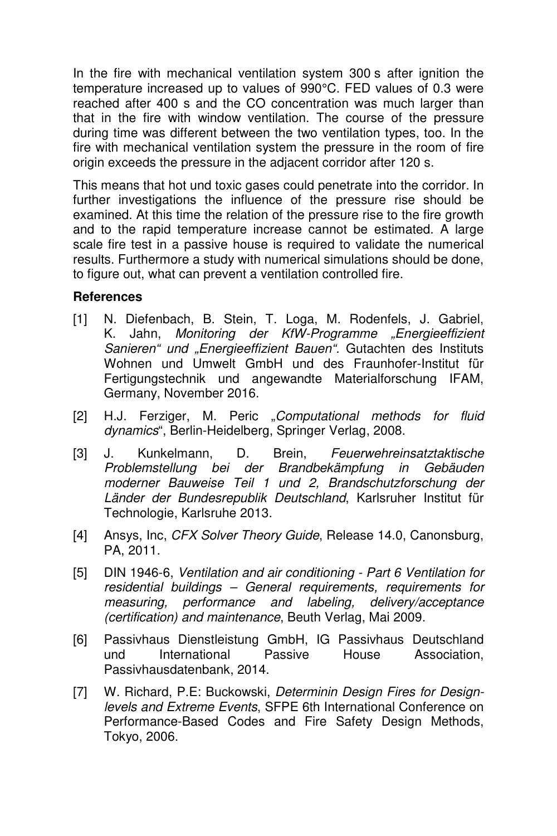In the fire with mechanical ventilation system 300 s after ignition the temperature increased up to values of 990°C. FED values of 0.3 were reached after 400 s and the CO concentration was much larger than that in the fire with window ventilation. The course of the pressure during time was different between the two ventilation types, too. In the fire with mechanical ventilation system the pressure in the room of fire origin exceeds the pressure in the adjacent corridor after 120 s.

This means that hot und toxic gases could penetrate into the corridor. In further investigations the influence of the pressure rise should be examined. At this time the relation of the pressure rise to the fire growth and to the rapid temperature increase cannot be estimated. A large scale fire test in a passive house is required to validate the numerical results. Furthermore a study with numerical simulations should be done, to figure out, what can prevent a ventilation controlled fire.

#### **References**

- [1] N. Diefenbach, B. Stein, T. Loga, M. Rodenfels, J. Gabriel, K. Jahn, Monitoring der KfW-Programme "Energieeffizient Sanieren" und "Energieeffizient Bauen". Gutachten des Instituts Wohnen und Umwelt GmbH und des Fraunhofer-Institut für Fertigungstechnik und angewandte Materialforschung IFAM, Germany, November 2016.
- [2] H.J. Ferziger, M. Peric "Computational methods for fluid dynamics", Berlin-Heidelberg, Springer Verlag, 2008.
- [3] J. Kunkelmann, D. Brein, Feuerwehreinsatztaktische Problemstellung bei der Brandbekämpfung in Gebäuden moderner Bauweise Teil 1 und 2, Brandschutzforschung der Länder der Bundesrepublik Deutschland, Karlsruher Institut für Technologie, Karlsruhe 2013.
- [4] Ansys, Inc, CFX Solver Theory Guide, Release 14.0, Canonsburg, PA, 2011.
- [5] DIN 1946-6, Ventilation and air conditioning Part 6 Ventilation for residential buildings – General requirements, requirements for measuring, performance and labeling, delivery/acceptance (certification) and maintenance, Beuth Verlag, Mai 2009.
- [6] Passivhaus Dienstleistung GmbH, IG Passivhaus Deutschland und International Passive House Association, Passivhausdatenbank, 2014.
- [7] W. Richard, P.E: Buckowski, Determinin Design Fires for Designlevels and Extreme Events, SFPE 6th International Conference on Performance-Based Codes and Fire Safety Design Methods, Tokyo, 2006.